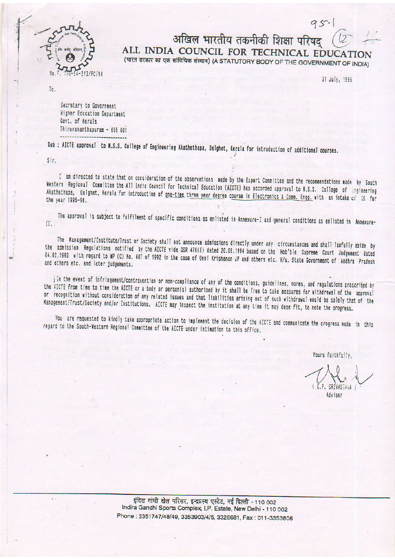

## अखिल भारतीय तकनीकी शिक्षा परिषद ALL INDIA COUNCIL FOR TECHNICAL EDUCATI (भारत सरकार का एक सांविधिक संस्थान) (A STATUTORY BODY OF THE GOVERNMENT OF INDIA)

31 July, 1995

95-

Ta.

Secretary to Government Higher Education Department Govt, of Kerala Thiruvananthapuram - 695 001

Sub : AICTE approval to N.S.S. College of Engineering Akathethapa, Dalghat, Kerala for introduction of additional courses.

Sir.

I am directed to state that on consideration of the observations made by the Expert Committee and the recommendations made by South Western Regional Committee the All India Council for Technical Education (AICTE) has accorded approval to N.S.S. College of Engineering Akathethapa, Dalghat, Kerala for introduction of one-time three year degree course in Electronics & Comm. Engg. with an intake of 35 for

The approval is subject to fulfilment of specific conditions as enlisted in Annexure-I and general conditions as enlisted in Annexure-II.

The Management/Institute/Trust or Society shall not announce admissions directly under any circumstances and shall lawfully abide by the admission Regulations notified by the AICTE vide GSR 476(E) dated 20.05.1994 based on the Hob'ble Supreme Court Judgement dated 04.02.1993 with regard to WP (C) No. 607 of 1992 in the case of Unni Krishanan JP and others etc. Y/s. State Government of Andhra Pradesh and others etc. and later judgements.

in the event of infringement/contravention or non-compliance of any of the conditions, guidelines, norms, and regulations prescribed by the AICTE from time to time the AICTE or a body or person(s) authorised by it shall be free to take measures for withdrawal of the approval or recognition without consideration of any related issues and that liabilities arising out of such withdrawal would be solely that of the Management/Trust/Society and/or Institutions. AICTE may inspect the institution at any time it may deem fit, to note the progress.

You are requested to kindly take appropriate action to implement the decision of the AICTE and communicate the progress made in this regard to the South-Western Regional Committee of the AICTE under intimation to this office.

Yours faithfully.

C.P. SRIVASTAVA Adviser

इंदिरा गांधी खेल परिसर, इन्द्रप्रस्थ एस्टेट, नई दिल्ली - 110 002 Indira Gandhi Sports Complex, I.P. Estate, New Delhi - 110 002 Phone: 3351747/48/49, 3353903/4/5, 3326681, Fax: 011-3353806